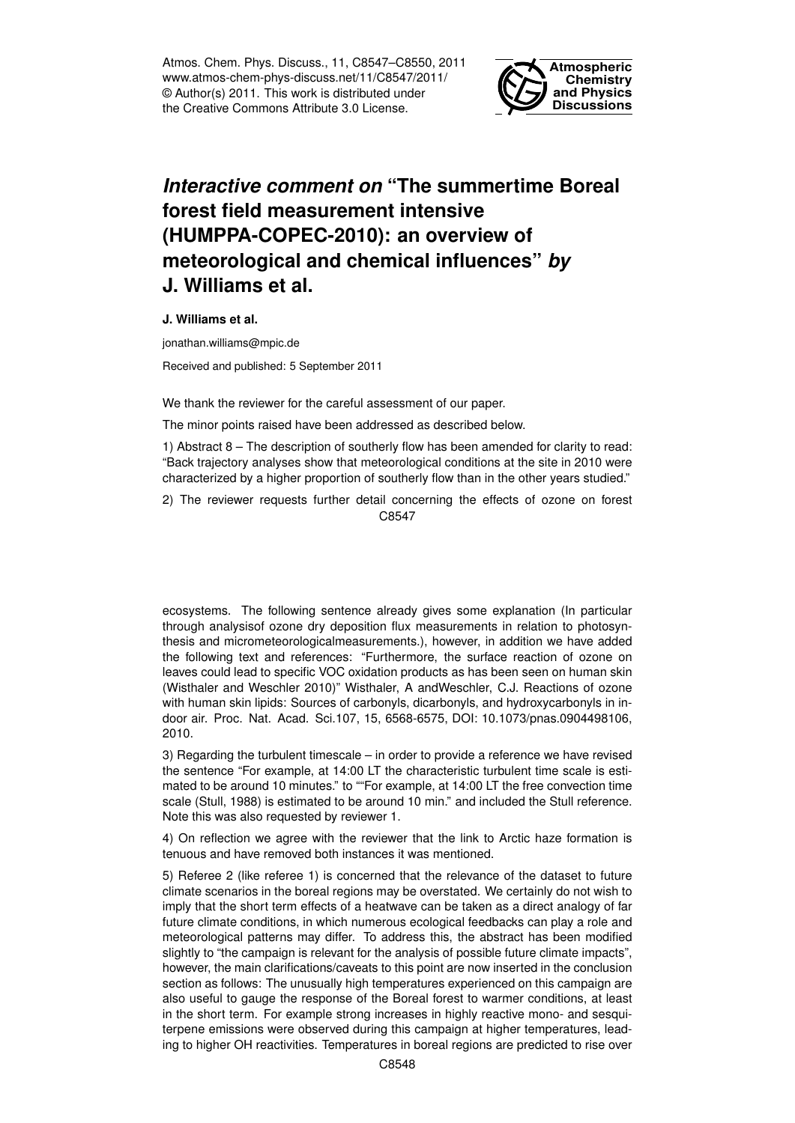Atmos. Chem. Phys. Discuss., 11, C8547–C8550, 2011 www.atmos-chem-phys-discuss.net/11/C8547/2011/ © Author(s) 2011. This work is distributed under the Creative Commons Attribute 3.0 License.



## *Interactive comment on* **"The summertime Boreal forest field measurement intensive (HUMPPA-COPEC-2010): an overview of meteorological and chemical influences"** *by* **J. Williams et al.**

**J. Williams et al.**

jonathan.williams@mpic.de

Received and published: 5 September 2011

We thank the reviewer for the careful assessment of our paper.

The minor points raised have been addressed as described below.

1) Abstract 8 – The description of southerly flow has been amended for clarity to read: "Back trajectory analyses show that meteorological conditions at the site in 2010 were characterized by a higher proportion of southerly flow than in the other years studied."

2) The reviewer requests further detail concerning the effects of ozone on forest C8547

ecosystems. The following sentence already gives some explanation (In particular through analysisof ozone dry deposition flux measurements in relation to photosynthesis and micrometeorologicalmeasurements.), however, in addition we have added the following text and references: "Furthermore, the surface reaction of ozone on leaves could lead to specific VOC oxidation products as has been seen on human skin (Wisthaler and Weschler 2010)" Wisthaler, A andWeschler, C.J. Reactions of ozone with human skin lipids: Sources of carbonyls, dicarbonyls, and hydroxycarbonyls in indoor air. Proc. Nat. Acad. Sci.107, 15, 6568-6575, DOI: 10.1073/pnas.0904498106, 2010.

3) Regarding the turbulent timescale – in order to provide a reference we have revised the sentence "For example, at 14:00 LT the characteristic turbulent time scale is estimated to be around 10 minutes." to ""For example, at 14:00 LT the free convection time scale (Stull, 1988) is estimated to be around 10 min." and included the Stull reference. Note this was also requested by reviewer 1.

4) On reflection we agree with the reviewer that the link to Arctic haze formation is tenuous and have removed both instances it was mentioned.

5) Referee 2 (like referee 1) is concerned that the relevance of the dataset to future climate scenarios in the boreal regions may be overstated. We certainly do not wish to imply that the short term effects of a heatwave can be taken as a direct analogy of far future climate conditions, in which numerous ecological feedbacks can play a role and meteorological patterns may differ. To address this, the abstract has been modified slightly to "the campaign is relevant for the analysis of possible future climate impacts", however, the main clarifications/caveats to this point are now inserted in the conclusion section as follows: The unusually high temperatures experienced on this campaign are also useful to gauge the response of the Boreal forest to warmer conditions, at least in the short term. For example strong increases in highly reactive mono- and sesquiterpene emissions were observed during this campaign at higher temperatures, leading to higher OH reactivities. Temperatures in boreal regions are predicted to rise over